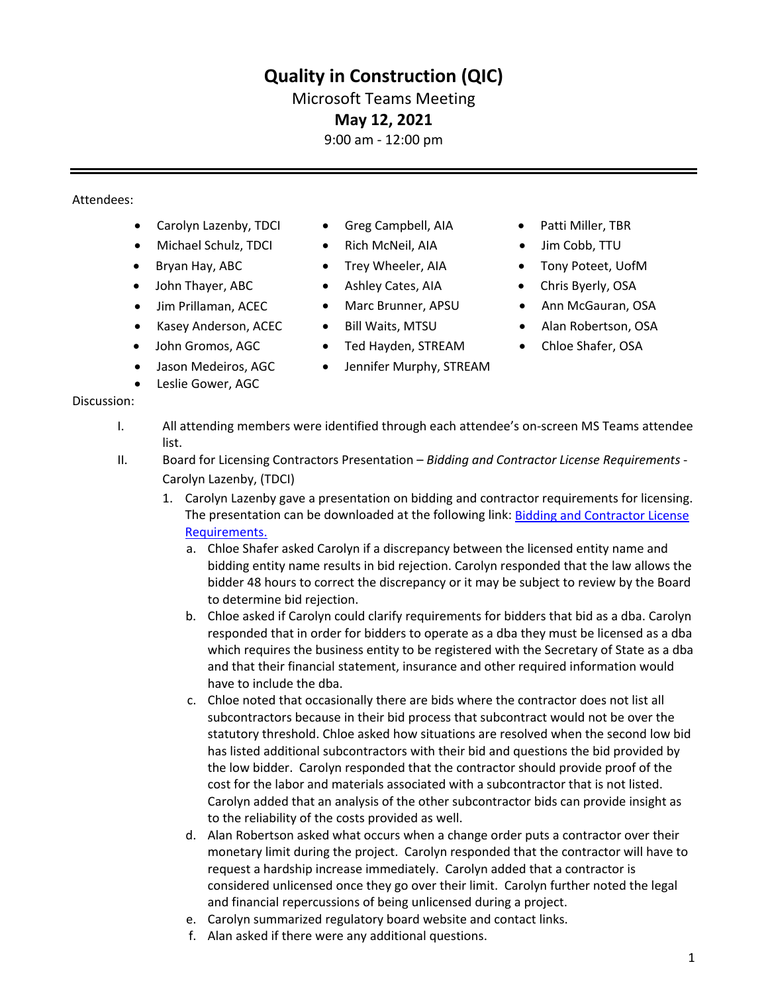# **Quality in Construction (QIC)**

## Microsoft Teams Meeting

### **May 12, 2021**

9:00 am - 12:00 pm

#### Attendees:

Discussion:

- Carolyn Lazenby, TDCI Greg Campbell, AIA Patti Miller, TBR
- Michael Schulz, TDCI Rich McNeil, AIA Jim Cobb, TTU
- 
- John Thayer, ABC Ashley Cates, AIA Chris Byerly, OSA
- 
- Kasey Anderson, ACEC Bill Waits, MTSU Alan Robertson, OSA
- John Gromos, AGC
- Jason Medeiros, AGC
- Leslie Gower, AGC
- Greg Campbell, AIA
- Rich McNeil, AIA
- Bryan Hay, ABC Trey Wheeler, AIA Tony Poteet, UofM • Trey Wheeler, AIA
	- Ashley Cates, AIA
- Jim Prillaman, ACEC Marc Brunner, APSU Ann McGauran, OSA • Marc Brunner, APSU
	- Bill Waits, MTSU
	- Ted Hayden, STREAM
	- Jennifer Murphy, STREAM
- 
- 
- 
- 
- 
- 
- Chloe Shafer, OSA

- - I. All attending members were identified through each attendee's on-screen MS Teams attendee list.
	- II. Board for Licensing Contractors Presentation *Bidding and Contractor License Requirements* Carolyn Lazenby, (TDCI)
		- 1. Carolyn Lazenby gave a presentation on bidding and contractor requirements for licensing. The presentation can be downloaded at the following link: [Bidding and Contractor License](https://www.tn.gov/osa/general-information/events---presentations.html) [Requirements.](https://www.tn.gov/osa/general-information/events---presentations.html)
			- a. Chloe Shafer asked Carolyn if a discrepancy between the licensed entity name and bidding entity name results in bid rejection. Carolyn responded that the law allows the bidder 48 hours to correct the discrepancy or it may be subject to review by the Board to determine bid rejection.
			- b. Chloe asked if Carolyn could clarify requirements for bidders that bid as a dba. Carolyn responded that in order for bidders to operate as a dba they must be licensed as a dba which requires the business entity to be registered with the Secretary of State as a dba and that their financial statement, insurance and other required information would have to include the dba.
			- c. Chloe noted that occasionally there are bids where the contractor does not list all subcontractors because in their bid process that subcontract would not be over the statutory threshold. Chloe asked how situations are resolved when the second low bid has listed additional subcontractors with their bid and questions the bid provided by the low bidder. Carolyn responded that the contractor should provide proof of the cost for the labor and materials associated with a subcontractor that is not listed. Carolyn added that an analysis of the other subcontractor bids can provide insight as to the reliability of the costs provided as well.
			- d. Alan Robertson asked what occurs when a change order puts a contractor over their monetary limit during the project. Carolyn responded that the contractor will have to request a hardship increase immediately. Carolyn added that a contractor is considered unlicensed once they go over their limit. Carolyn further noted the legal and financial repercussions of being unlicensed during a project.
			- e. Carolyn summarized regulatory board website and contact links.
			- f. Alan asked if there were any additional questions.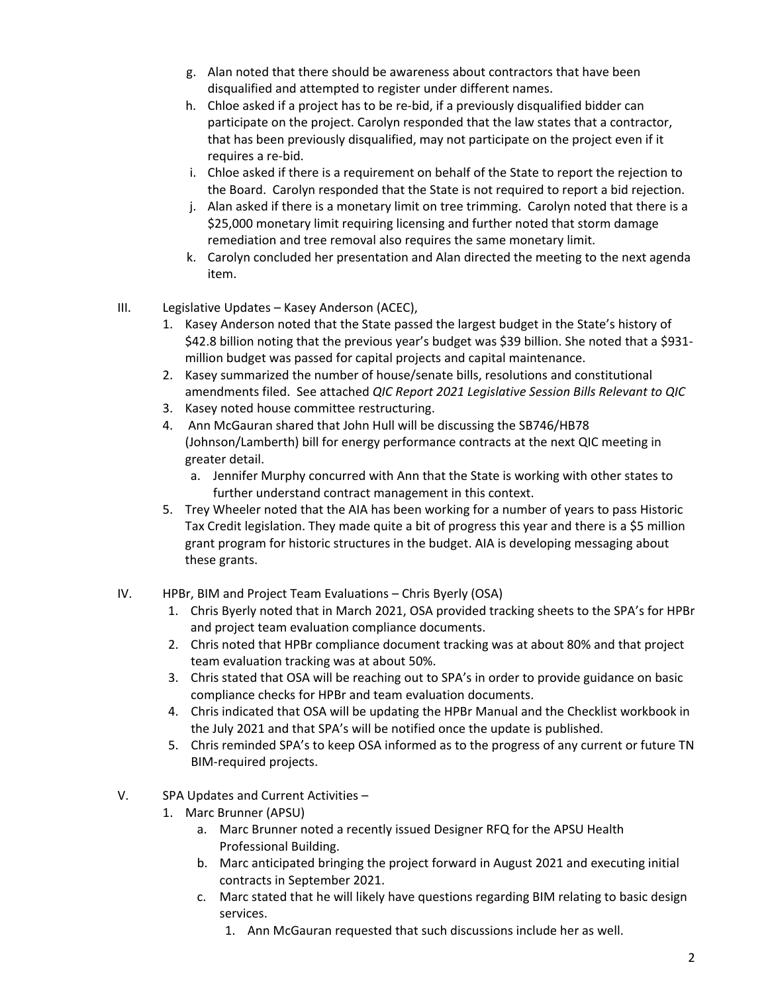- g. Alan noted that there should be awareness about contractors that have been disqualified and attempted to register under different names.
- h. Chloe asked if a project has to be re-bid, if a previously disqualified bidder can participate on the project. Carolyn responded that the law states that a contractor, that has been previously disqualified, may not participate on the project even if it requires a re-bid.
- i. Chloe asked if there is a requirement on behalf of the State to report the rejection to the Board. Carolyn responded that the State is not required to report a bid rejection.
- j. Alan asked if there is a monetary limit on tree trimming. Carolyn noted that there is a \$25,000 monetary limit requiring licensing and further noted that storm damage remediation and tree removal also requires the same monetary limit.
- k. Carolyn concluded her presentation and Alan directed the meeting to the next agenda item.
- III. Legislative Updates Kasey Anderson (ACEC),
	- 1. Kasey Anderson noted that the State passed the largest budget in the State's history of \$42.8 billion noting that the previous year's budget was \$39 billion. She noted that a \$931 million budget was passed for capital projects and capital maintenance.
	- 2. Kasey summarized the number of house/senate bills, resolutions and constitutional amendments filed. See attached *QIC Report 2021 Legislative Session Bills Relevant to QIC*
	- 3. Kasey noted house committee restructuring.
	- 4. Ann McGauran shared that John Hull will be discussing the SB746/HB78 (Johnson/Lamberth) bill for energy performance contracts at the next QIC meeting in greater detail.
		- a. Jennifer Murphy concurred with Ann that the State is working with other states to further understand contract management in this context.
	- 5. Trey Wheeler noted that the AIA has been working for a number of years to pass Historic Tax Credit legislation. They made quite a bit of progress this year and there is a \$5 million grant program for historic structures in the budget. AIA is developing messaging about these grants.
- IV. HPBr, BIM and Project Team Evaluations Chris Byerly (OSA)
	- 1. Chris Byerly noted that in March 2021, OSA provided tracking sheets to the SPA's for HPBr and project team evaluation compliance documents.
	- 2. Chris noted that HPBr compliance document tracking was at about 80% and that project team evaluation tracking was at about 50%.
	- 3. Chris stated that OSA will be reaching out to SPA's in order to provide guidance on basic compliance checks for HPBr and team evaluation documents.
	- 4. Chris indicated that OSA will be updating the HPBr Manual and the Checklist workbook in the July 2021 and that SPA's will be notified once the update is published.
	- 5. Chris reminded SPA's to keep OSA informed as to the progress of any current or future TN BIM-required projects.
- V. SPA Updates and Current Activities
	- 1. Marc Brunner (APSU)
		- a. Marc Brunner noted a recently issued Designer RFQ for the APSU Health Professional Building.
		- b. Marc anticipated bringing the project forward in August 2021 and executing initial contracts in September 2021.
		- c. Marc stated that he will likely have questions regarding BIM relating to basic design services.
			- 1. Ann McGauran requested that such discussions include her as well.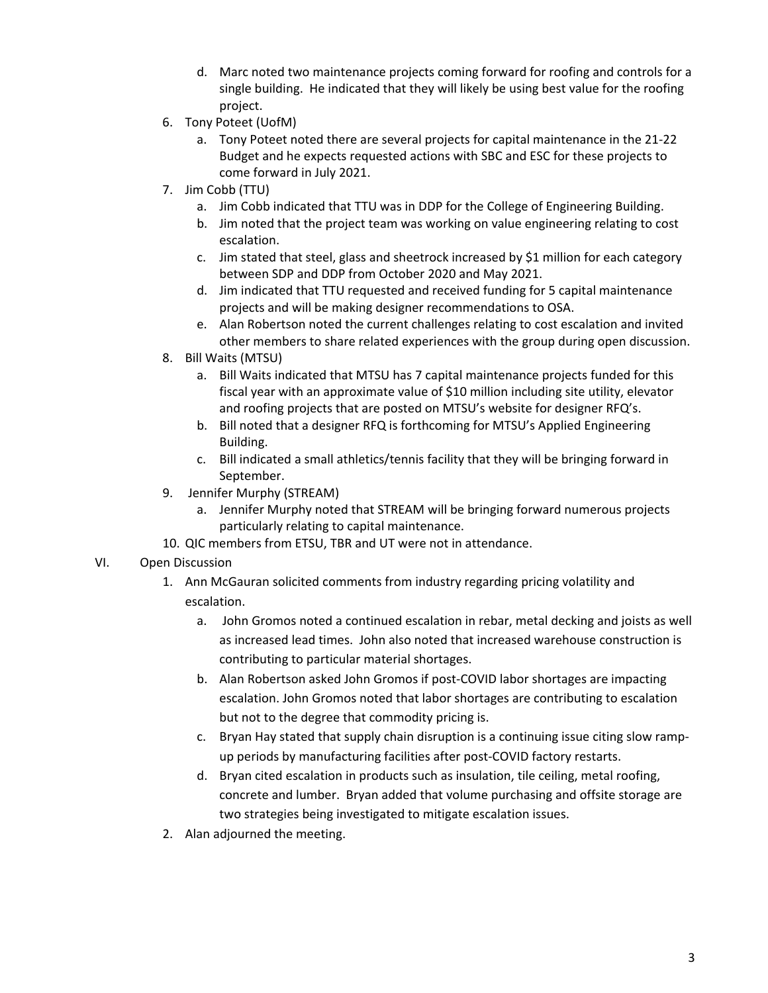- d. Marc noted two maintenance projects coming forward for roofing and controls for a single building. He indicated that they will likely be using best value for the roofing project.
- 6. Tony Poteet (UofM)
	- a. Tony Poteet noted there are several projects for capital maintenance in the 21-22 Budget and he expects requested actions with SBC and ESC for these projects to come forward in July 2021.
- 7. Jim Cobb (TTU)
	- a. Jim Cobb indicated that TTU was in DDP for the College of Engineering Building.
	- b. Jim noted that the project team was working on value engineering relating to cost escalation.
	- c. Jim stated that steel, glass and sheetrock increased by \$1 million for each category between SDP and DDP from October 2020 and May 2021.
	- d. Jim indicated that TTU requested and received funding for 5 capital maintenance projects and will be making designer recommendations to OSA.
	- e. Alan Robertson noted the current challenges relating to cost escalation and invited other members to share related experiences with the group during open discussion.
- 8. Bill Waits (MTSU)
	- a. Bill Waits indicated that MTSU has 7 capital maintenance projects funded for this fiscal year with an approximate value of \$10 million including site utility, elevator and roofing projects that are posted on MTSU's website for designer RFQ's.
	- b. Bill noted that a designer RFQ is forthcoming for MTSU's Applied Engineering Building.
	- c. Bill indicated a small athletics/tennis facility that they will be bringing forward in September.
- 9. Jennifer Murphy (STREAM)
	- a. Jennifer Murphy noted that STREAM will be bringing forward numerous projects particularly relating to capital maintenance.
- 10. QIC members from ETSU, TBR and UT were not in attendance.

#### VI. Open Discussion

- 1. Ann McGauran solicited comments from industry regarding pricing volatility and escalation.
	- a. John Gromos noted a continued escalation in rebar, metal decking and joists as well as increased lead times. John also noted that increased warehouse construction is contributing to particular material shortages.
	- b. Alan Robertson asked John Gromos if post-COVID labor shortages are impacting escalation. John Gromos noted that labor shortages are contributing to escalation but not to the degree that commodity pricing is.
	- c. Bryan Hay stated that supply chain disruption is a continuing issue citing slow rampup periods by manufacturing facilities after post-COVID factory restarts.
	- d. Bryan cited escalation in products such as insulation, tile ceiling, metal roofing, concrete and lumber. Bryan added that volume purchasing and offsite storage are two strategies being investigated to mitigate escalation issues.
- 2. Alan adjourned the meeting.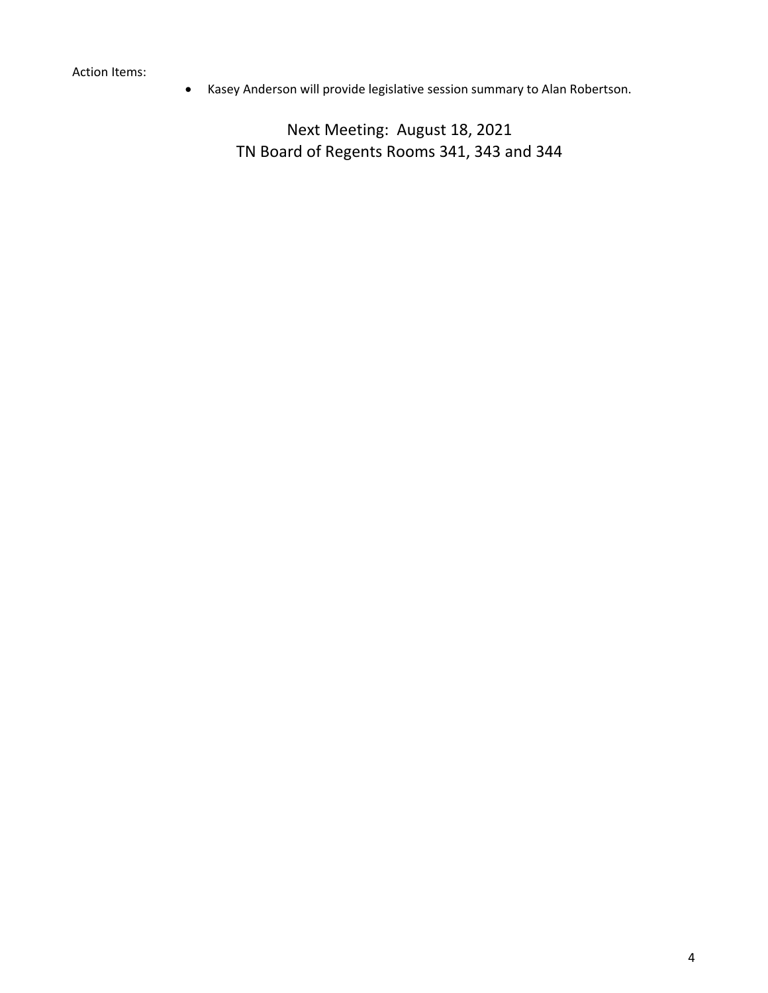Action Items:

• Kasey Anderson will provide legislative session summary to Alan Robertson.

Next Meeting: August 18, 2021 TN Board of Regents Rooms 341, 343 and 344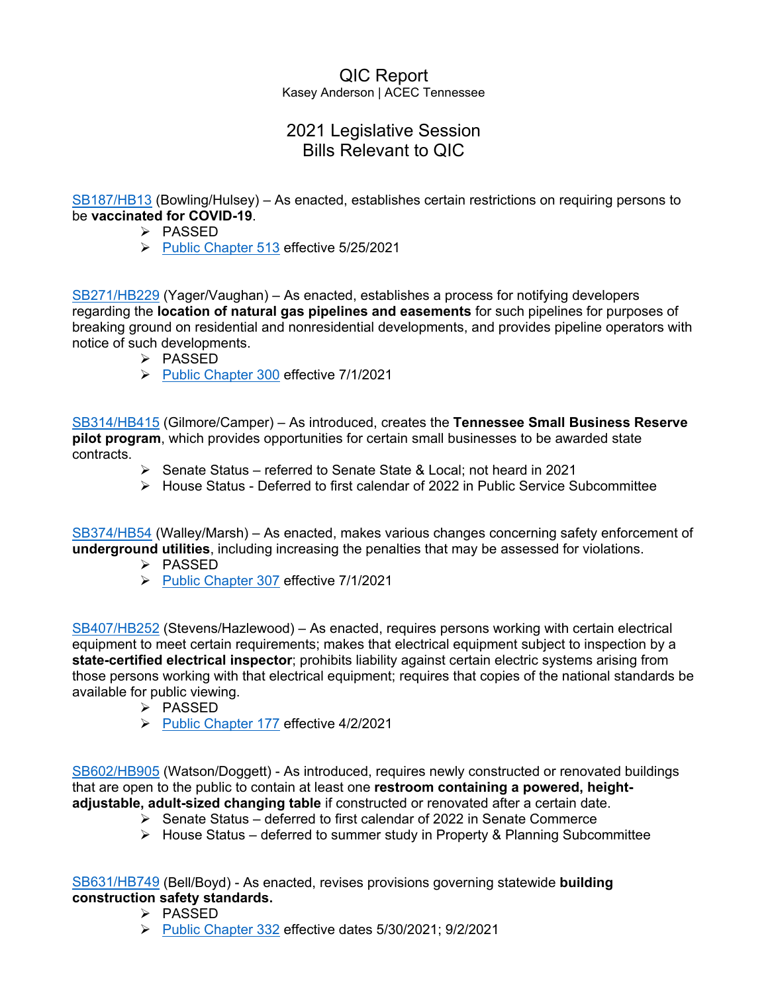#### QIC Report Kasey Anderson | ACEC Tennessee

# 2021 Legislative Session Bills Relevant to QIC

[SB187/HB13](https://wapp.capitol.tn.gov/apps/BillInfo/Default.aspx?BillNumber=SB0187) (Bowling/Hulsey) – As enacted, establishes certain restrictions on requiring persons to be **vaccinated for COVID-19**.

- $\triangleright$  PASSED
- [Public Chapter 513](https://publications.tnsosfiles.com/acts/112/pub/pc0513.pdf) effective 5/25/2021

[SB271/HB229](https://wapp.capitol.tn.gov/apps/BillInfo/Default.aspx?BillNumber=SB0271) (Yager/Vaughan) – As enacted, establishes a process for notifying developers regarding the **location of natural gas pipelines and easements** for such pipelines for purposes of breaking ground on residential and nonresidential developments, and provides pipeline operators with notice of such developments.

- $\triangleright$  PASSED
- [Public Chapter 300](https://publications.tnsosfiles.com/acts/112/pub/pc0300.pdf) effective 7/1/2021

[SB314/HB415](https://wapp.capitol.tn.gov/apps/BillInfo/Default.aspx?BillNumber=SB0314) (Gilmore/Camper) – As introduced, creates the **Tennessee Small Business Reserve pilot program**, which provides opportunities for certain small businesses to be awarded state contracts.

- $\triangleright$  Senate Status referred to Senate State & Local; not heard in 2021
- $\triangleright$  House Status Deferred to first calendar of 2022 in Public Service Subcommittee

[SB374/HB54](https://wapp.capitol.tn.gov/apps/BillInfo/Default.aspx?BillNumber=SB0374) (Walley/Marsh) – As enacted, makes various changes concerning safety enforcement of **underground utilities**, including increasing the penalties that may be assessed for violations.

- $\triangleright$  PASSED
- [Public Chapter 307](https://publications.tnsosfiles.com/acts/112/pub/pc0307.pdf) effective 7/1/2021

[SB407/HB252](https://wapp.capitol.tn.gov/apps/BillInfo/Default.aspx?BillNumber=SB0407) (Stevens/Hazlewood) – As enacted, requires persons working with certain electrical equipment to meet certain requirements; makes that electrical equipment subject to inspection by a **state-certified electrical inspector**; prohibits liability against certain electric systems arising from those persons working with that electrical equipment; requires that copies of the national standards be available for public viewing.

- $\triangleright$  PASSED
- [Public Chapter 177](https://publications.tnsosfiles.com/acts/112/pub/pc0177.pdf) effective 4/2/2021

[SB602/HB905](https://wapp.capitol.tn.gov/apps/BillInfo/Default.aspx?BillNumber=SB0602) (Watson/Doggett) - As introduced, requires newly constructed or renovated buildings that are open to the public to contain at least one **restroom containing a powered, heightadjustable, adult-sized changing table** if constructed or renovated after a certain date.

- $\triangleright$  Senate Status deferred to first calendar of 2022 in Senate Commerce
- $\triangleright$  House Status deferred to summer study in Property & Planning Subcommittee

[SB631/HB749](https://wapp.capitol.tn.gov/apps/BillInfo/Default.aspx?BillNumber=SB0631) (Bell/Boyd) - As enacted, revises provisions governing statewide **building construction safety standards.**

- $\triangleright$  PASSED
- [Public Chapter 332](https://publications.tnsosfiles.com/acts/112/pub/pc0332.pdf) effective dates 5/30/2021; 9/2/2021